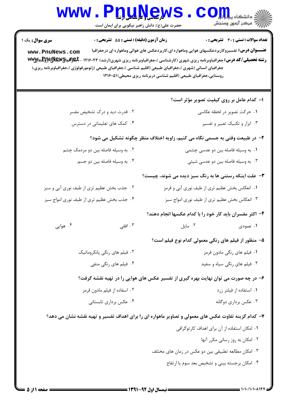| <b>WWW</b>                                                                                                                                                                                                                                                                                               | <b>U.U.N.C.W</b><br>حضرت علی(ع): دانش راهبر نیکویی برای ایمان است                                                                                  |                                                                   | ≦ دانشکاه پی <mark>اج</mark> <del>لو</del><br>رِ آزمون وسنڊش                                                                                                                                                      |
|----------------------------------------------------------------------------------------------------------------------------------------------------------------------------------------------------------------------------------------------------------------------------------------------------------|----------------------------------------------------------------------------------------------------------------------------------------------------|-------------------------------------------------------------------|-------------------------------------------------------------------------------------------------------------------------------------------------------------------------------------------------------------------|
| <b>سری سوال :</b> یک ۱<br>www.PnuNews.com<br><b>رشته تحصیلی/کد درس:</b> جغرافیاوبرنامه ریزی شهری (کارشناسی )،جغرافیاوبرنامه ریزی شهری(ارشد) ۱۲۱۶۰۲۳ - <b>جلو(آفیای)UNGW</b> یا <b>ww</b> y<br>جغرافیای انسانی (شهری )،جغرافیای طبیعی (اقلیم شناسی )،جغرافیای طبیعی (ژئومورفولوژی )،جغرافیاوبرنامه ریزی،( | زمان آزمون (دقیقه) : تستی : 55 آتشریحی : 0                                                                                                         | روستایی،جغرافیای طبیعی (اقلیم شناسی دربرنامه ریزی محیطی)۱۲۱۶۰۵۱ ( | تعداد سوالات : تستى : 30 ٪ تشريحي : 0<br><b>عنـــوان درس:</b> تفسیروکاربردعکسهای هوایی وماهواره ای،کاربردعکس های هوائی وماهواره ای درجغرافیا                                                                      |
|                                                                                                                                                                                                                                                                                                          | ۰۲ قدرت دید و درک تشخیص مفسر<br>۰۴ کمک های تعلیماتی در دسترس                                                                                       |                                                                   | <b>ا</b> – کدام عامل بر روی کیفیت تصویر مؤثر است؟<br>۰۱ حرکت تصویر در لحظه عکاسی<br>۰۳ ابزار و تکنیک تعبیر و تفسیر                                                                                                |
|                                                                                                                                                                                                                                                                                                          | ۲– در طبیعت وقتی به جسمی نگاه می کنیم، زاویه اختلاف منظر چگونه تشکیل می شود؟<br>۰۲ به وسیله فاصله بین دو مردمک چشم<br>۰۴ به وسیله فاصله بین دو جسم |                                                                   | ۰۱ به وسیله فاصله بین دو عدسی چشمی<br>۰۳ به وسیله فاصله بین دو عدسی شیئی                                                                                                                                          |
| ۰۲ جذب بخش عظیم تری از طیف نوری آبی و سبز<br>۰۴ جذب بخش عظیم تری از طیف نوری امواج سبز                                                                                                                                                                                                                   |                                                                                                                                                    |                                                                   | ۳- علت اینکه رستنی ها به رنگ سبز دیده می شوند، چیست؟<br>۰۱ انعکاس بخش عظیم تری از طیف نوری آبی و قرمز<br>۰۳ انعکاس بخش عظیم تری از طیف نوری امواج سبز<br>۴– اکثر مفسران باید کار خود را با کدام عکسها انجام دهند؟ |
| ۰۴ هوایی                                                                                                                                                                                                                                                                                                 | ۰۳ افقی<br>۰۲ فیلم های رنگی پانکروماتیک<br>۰۴ فیلم های <sub>ر</sub> نگی منفی                                                                       |                                                                   | <b>۱.</b> عمودی مسلمان است. ۲. مایل<br>۵– منظور از فیلم های رنگی معمولی کدام نوع فیلم است؟<br>٠١. فيلم هاي رنگي مادون قرمز<br>۰۳ فیلم های رنگی سیاه و سفید                                                        |
|                                                                                                                                                                                                                                                                                                          | ۶– در چه صورت می توان نهایت بهره گیری از تفسیر عکس های هوایی را در تهیه نقشه گرفت؟<br>۰۲ اسفاده از فیلم مادون قرمز<br>۰۴ عکس برداری تابستانی       |                                                                   | ۰۱ استفاده از فیلتر زرد<br>۰۳ عکس برداری دوگانه                                                                                                                                                                   |
|                                                                                                                                                                                                                                                                                                          | ۷– کدام گزینه تفاوت عکس های معمولی و تصاویر ماهواره ای را برای اهداف تفسیر و تهیه نقشه نشان می دهد؟                                                | ۰۳ امکان مطالعه تطبیقی بین دو عکس در زمان های مختلف               | ۰۱ امکان استفاده از آن برای اهداف کار توگرافی<br>۰۲ امکان به روز رسانی مکرر آنها<br>۰۴ امکان برجسته بینی و تشخیص بعد سوم یا ارتفاع                                                                                |

 $1881$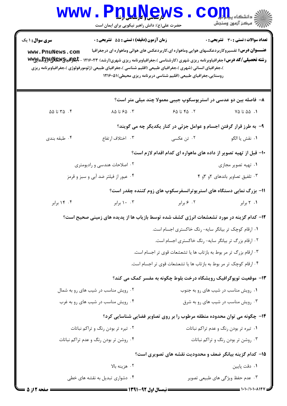|                                                                                          | <b>WWW.PDUAGWS</b><br>حضرت علی(ع): دانش راهبر نیکویی برای ایمان است                                                                                                                       |                                                                                                     | COJJL<br>رآ - مرڪز آزمون وسنڊش         |  |  |
|------------------------------------------------------------------------------------------|-------------------------------------------------------------------------------------------------------------------------------------------------------------------------------------------|-----------------------------------------------------------------------------------------------------|----------------------------------------|--|--|
| <b>سری سوال :</b> ۱ یک<br>www.PnuNews.com                                                | زمان آزمون (دقيقه) : تستى : 55 تشريحى : 0<br><b>رشته تحصیلی/کد درس:</b> جغرافیاوبرنامه ریزی شهری (کارشناسی )،جغرافیاوبرنامه ریزی شهری(ارشد) ۱۲۱۶۰۲۳ - <b>جلوافیایهالیلاپا(BEX) به www</b> | <b>عنـــوان درس:</b> تفسیروکاربردعکسهای هوایی وماهواره ای،کاربردعکس های هوائی وماهواره ای درجغرافیا | تعداد سوالات : تستي : 30 ٪ تشريحي : 0  |  |  |
|                                                                                          | )،جغرافیای انسانی (شهری )،جغرافیای طبیعی (اقلیم شناسی )،جغرافیای طبیعی (ژئومورفولوژی )،جغرافیاوبرنامه ریزی                                                                                | روستایی،جغرافیای طبیعی (اقلیم شناسی دربرنامه ریزی محیطی)۵۱۶۰۵۱۱                                     |                                        |  |  |
|                                                                                          |                                                                                                                                                                                           | ۸– فاصله بین دو عدسی در استریوسکوپ جیبی معمولا چند میلی متر است؟                                    |                                        |  |  |
| $\Delta \Delta$ تا $\Delta \Delta$                                                       | ۰۳ ه ۶۵ تا ۸۵                                                                                                                                                                             | ۰۲ تا ۶۵ تا                                                                                         | $Y \triangle$ تا ۷۵                    |  |  |
|                                                                                          |                                                                                                                                                                                           | ۹- به طرز قرار گرفتن اجسام و عوامل جزئی در کنار یکدیگر چه می گویند؟                                 |                                        |  |  |
| ۰۴ طبقه بندی                                                                             | ۰۳ اختلاف ارتفاع                                                                                                                                                                          | ۲. تن عکسی                                                                                          | ٠١ نقش يا الگو                         |  |  |
|                                                                                          |                                                                                                                                                                                           | ۱۰– قبل از تهیه تصویر از داده های ماهواره ای کدام اقدام لازم است؟                                   |                                        |  |  |
|                                                                                          | ۰۲ اصلاحات هندسی و رادیومتری                                                                                                                                                              |                                                                                                     | ۰۱ تهیه تصویر مجازی                    |  |  |
| ۰۴ عبور از فیلتر ضد آبی و سبز و قرمز                                                     |                                                                                                                                                                                           | ۰۳ تلفیق تصاویر باندهای ۲و ۴و ۴                                                                     |                                        |  |  |
|                                                                                          |                                                                                                                                                                                           | 1۱- بزرگ نمایی دستگاه های استریوترانسفرسکوپ های زوم کننده چقدر است؟                                 |                                        |  |  |
| ۰۴ برابر                                                                                 | ۰۰ ۱۰ برابر                                                                                                                                                                               | ۰۲ ۶ برابر                                                                                          | ۰۱ ۲ برابر                             |  |  |
| ۱۲- کدام گزینه در مورد تشعشعات انرژی کشف شده توسط بازیاب ها از پدیده های زمینی صحیح است؟ |                                                                                                                                                                                           |                                                                                                     |                                        |  |  |
|                                                                                          |                                                                                                                                                                                           | ۰۱ ارقام کوچک تر بیانگر سایه- رنگ خاکستری اجسام است.                                                |                                        |  |  |
|                                                                                          |                                                                                                                                                                                           | ۰۲ ارقام بزرگ تر بیانگر سایه- رنگ خاکستری اجسام است.                                                |                                        |  |  |
|                                                                                          |                                                                                                                                                                                           | ۰۳ ارقام بزرگ تر مر بوط به بازتاب ها یا تشعشعات قوی تر اجسام است.                                   |                                        |  |  |
|                                                                                          |                                                                                                                                                                                           | ۰۴ ارقام کوچک تر مر بوط به بازتاب ها یا تشعشعات قوی تر اجسام است.                                   |                                        |  |  |
|                                                                                          |                                                                                                                                                                                           | ۱۳- موقعیت توپوگرافیک رویشگاه درخت بلوط چگونه به مفسر کمک می کند؟                                   |                                        |  |  |
|                                                                                          | ۰۲ رویش مناسب در شیب های رو به شمال                                                                                                                                                       |                                                                                                     | ۰۱ رویش مناسب در شیب های رو به جنوب    |  |  |
|                                                                                          | ۰۴ رویش مناسب در شیب های رو به غرب                                                                                                                                                        |                                                                                                     | ۰۳ رویش مناسب در شیب های رو به شرق     |  |  |
|                                                                                          | ۱۴- چگونه می توان محدوده منطقه مرطوب را بر روی تصاویر فضایی شناسایی کرد؟                                                                                                                  |                                                                                                     |                                        |  |  |
|                                                                                          | ۰۲ تیره تر بودن رنگ و تراکم نباتات                                                                                                                                                        |                                                                                                     | ۰۱ تیره تر بودن رنگ و عدم تراکم نباتات |  |  |
|                                                                                          | ۰۴ روشن تر بودن رنگ و عدم تراکم نباتات                                                                                                                                                    |                                                                                                     | ۰۳ روشن تر بودن رنگ و تراکم نباتات     |  |  |
| ۱۵- کدام گزینه بیانگر ضعف و محدودیت نقشه های تصویری است؟                                 |                                                                                                                                                                                           |                                                                                                     |                                        |  |  |
|                                                                                          | ۰۲ هزينه بالا                                                                                                                                                                             |                                                                                                     | ۰۱ دقت پایین                           |  |  |
|                                                                                          | ۰۴ دشواری تبدیل به نقشه های خطی                                                                                                                                                           |                                                                                                     | ۰۳ عدم حفظ ویژگی های طبیعی تصویر       |  |  |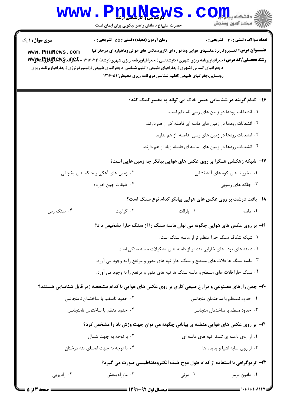|                                                                                                                                                                                                                                                                                                                                                                                                                                                             | www.PnuNew<br>حضرت علی(ع): دانش راهبر نیکویی برای ایمان است                                                |                                                                         | الاد دانشکاه پیدا برای C<br>اراخ دانشکاه پیدا برای کا                     |  |  |
|-------------------------------------------------------------------------------------------------------------------------------------------------------------------------------------------------------------------------------------------------------------------------------------------------------------------------------------------------------------------------------------------------------------------------------------------------------------|------------------------------------------------------------------------------------------------------------|-------------------------------------------------------------------------|---------------------------------------------------------------------------|--|--|
| <b>سری سوال :</b> ۱ یک                                                                                                                                                                                                                                                                                                                                                                                                                                      | زمان آزمون (دقیقه) : تستی : 55 آتشریحی : 0                                                                 |                                                                         | <b>تعداد سوالات : تستی : 30 ٪ تشریحی : 0</b>                              |  |  |
| <b>عنـــوان درس:</b> تفسیروکاربردعکسهای هوایی وماهواره ای،کاربردعکس های هوائی وماهواره ای درجغرافیا<br>www.PnuNews.com<br><b>رشته تحصیلی/کد درس:</b> جغرافیاوبرنامه ریزی شهری (کارشناسی )،جغرافیاوبرنامه ریزی شهری(ارشد) ۱۲۱۶۰۲۳ - <b>جلوافیایهالیا(پرلو</b> یایالیا)www<br>)،جغرافیای انسانی (شهری )،جغرافیای طبیعی (اقلیم شناسی )،جغرافیای طبیعی (ژئومورفولوژی )،جغرافیاوبرنامه ریزی<br>روستایی،جغرافیای طبیعی (اقلیم شناسی دربرنامه ریزی محیطی)۱۲۱۶۰۵۱ ( |                                                                                                            |                                                                         |                                                                           |  |  |
|                                                                                                                                                                                                                                                                                                                                                                                                                                                             |                                                                                                            |                                                                         | ۱۶- کدام گزینه در شناسایی جنس خاک می تواند به مفسر کمک کند؟               |  |  |
|                                                                                                                                                                                                                                                                                                                                                                                                                                                             |                                                                                                            |                                                                         | ۰۱ انشعابات رودها در زمین های رسی نامنظم است.                             |  |  |
|                                                                                                                                                                                                                                                                                                                                                                                                                                                             | ۲. انشعابات رودها در زمین های ماسه ای فاصله کم از هم دارند.                                                |                                                                         |                                                                           |  |  |
|                                                                                                                                                                                                                                                                                                                                                                                                                                                             | ۰۳ انشعابات رودها در زمین های رسی فاصله از هم ندارند.                                                      |                                                                         |                                                                           |  |  |
|                                                                                                                                                                                                                                                                                                                                                                                                                                                             |                                                                                                            | ۰۴ انشعابات رودها در زمین های  ماسه ای فاصله زیاد از هم دارند.          |                                                                           |  |  |
|                                                                                                                                                                                                                                                                                                                                                                                                                                                             |                                                                                                            |                                                                         | ۱۷- شبکه زهکشی همگرا بر روی عکس های هوایی بیانگر چه زمین هایی است؟        |  |  |
|                                                                                                                                                                                                                                                                                                                                                                                                                                                             | ۰۲ زمین های آهکی و جلگه های یخچالی                                                                         |                                                                         | ۰۱ مخروط های کوه های آتشفشانی                                             |  |  |
|                                                                                                                                                                                                                                                                                                                                                                                                                                                             | ۰۴ طبقات چين خورده                                                                                         |                                                                         | ۰۳ جلگه های رسوبی                                                         |  |  |
|                                                                                                                                                                                                                                                                                                                                                                                                                                                             |                                                                                                            |                                                                         | <b>۱۸</b> - بافت درشت بر روی عکس های هوایی بیانگر کدام نوع سنگ است؟       |  |  |
| ۰۴ سنگ رس                                                                                                                                                                                                                                                                                                                                                                                                                                                   | ۰۳ گرانيت                                                                                                  | ۰۲ بازالت                                                               | ۰۱ ماسه                                                                   |  |  |
|                                                                                                                                                                                                                                                                                                                                                                                                                                                             | ۱۹- بر روی عکس های هوایی چگونه می توان ماسه سنگ را از سنگ خارا تشخیص داد؟                                  |                                                                         |                                                                           |  |  |
|                                                                                                                                                                                                                                                                                                                                                                                                                                                             |                                                                                                            |                                                                         | ۰۱ شبکه شکاف سنگ خارا منظم تر از ماسه سنگ است.                            |  |  |
|                                                                                                                                                                                                                                                                                                                                                                                                                                                             |                                                                                                            | ۲. دامنه های توده های خارایی تند تر از دامنه های تشکیلات ماسه سنگی است. |                                                                           |  |  |
|                                                                                                                                                                                                                                                                                                                                                                                                                                                             | ۰۳ ماسه سنگ ها فلات های مسطح و سنگ خارا تپه های مدور و مرتفع را به وجود می آورد.                           |                                                                         |                                                                           |  |  |
|                                                                                                                                                                                                                                                                                                                                                                                                                                                             | ۰۴ سنگ خارا فلات های مسطح و ماسه سنگ ها تپه های مدور و مرتفع را به وجود می آورد.                           |                                                                         |                                                                           |  |  |
|                                                                                                                                                                                                                                                                                                                                                                                                                                                             | <b>۲۰</b> - چمن زارهای مصنوعی و مزارع صیفی کاری بر روی عکس های هوایی با کدام مشخصه زیر قابل شناسایی هستند؟ |                                                                         |                                                                           |  |  |
|                                                                                                                                                                                                                                                                                                                                                                                                                                                             | ٠٢ حدود نامنظم با ساختمان نامتجانس                                                                         |                                                                         | ٠١ حدود نامنظم با ساختمان متجانس                                          |  |  |
|                                                                                                                                                                                                                                                                                                                                                                                                                                                             | ۰۴ حدود منظم با ساختمان نامتجانس                                                                           |                                                                         | ۰۳ حدود منظم با ساختمان متجانس                                            |  |  |
|                                                                                                                                                                                                                                                                                                                                                                                                                                                             | <b>۲۱</b> - بر روی عکس های هوایی منطقه ی بیابانی چگونه می توان جهت وزش باد را مشخص کرد؟                    |                                                                         |                                                                           |  |  |
|                                                                                                                                                                                                                                                                                                                                                                                                                                                             | ۰۱ از روی دامنه ی تندتر تپه های ماسه ای<br>۰۲ با توجه به جهت شمال                                          |                                                                         |                                                                           |  |  |
|                                                                                                                                                                                                                                                                                                                                                                                                                                                             | ۰۴ با توجه به جهت انحنای تنه درختان                                                                        |                                                                         | ۰۳ از روی سایه اشیا و پدیده ها                                            |  |  |
|                                                                                                                                                                                                                                                                                                                                                                                                                                                             |                                                                                                            |                                                                         | ۲۲- ترموگرافی با استفاده از کدام طول موج طیف الکترومغناطیسی صورت می گیرد؟ |  |  |
| ۰۴ راديويي                                                                                                                                                                                                                                                                                                                                                                                                                                                  | ۰۳ ماوراء بنفش                                                                                             | ۰۲ مرئی                                                                 | ۰۱ مادون قرمز                                                             |  |  |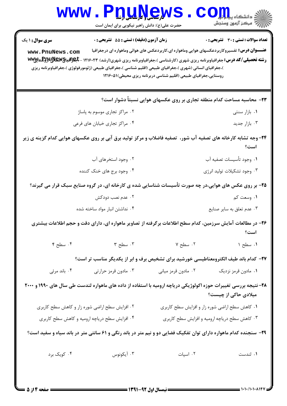| <b>WWW.</b>                                                                                                             | PDUAGW<br>حضرت علی(ع): دانش راهبر نیکویی برای ایمان است                                                                                                                                                                                                                        |                                                                                                                                                                         | د<br>آق دانشکاه پ <b>یا ب<sup>ا</sup> بو<br/>آق</b><br>// مرکز آزمون وسنجش |  |  |
|-------------------------------------------------------------------------------------------------------------------------|--------------------------------------------------------------------------------------------------------------------------------------------------------------------------------------------------------------------------------------------------------------------------------|-------------------------------------------------------------------------------------------------------------------------------------------------------------------------|----------------------------------------------------------------------------|--|--|
| <b>سری سوال : ۱ یک</b>                                                                                                  | <b>زمان آزمون (دقیقه) : تستی : 55 تشریحی : 0</b>                                                                                                                                                                                                                               |                                                                                                                                                                         | <b>تعداد سوالات : تستی : 30 ٪ تشریحی : 0</b>                               |  |  |
| www.PnuNews.com                                                                                                         | <b>رشته تحصیلی/کد درس:</b> جغرافیاوبرنامه ریزی شهری (کارشناسی )،جغرافیاوبرنامه ریزی شهری(ارشد) ۱۲۱۶۰۲۳ - <b>جلوافیایهالیلاپا(پرلو</b> للایالایی) <del>ww</del> y<br>)،جغرافیای انسانی (شهری )،جغرافیای طبیعی (اقلیم شناسی )،جغرافیای طبیعی (ژئومورفولوژی )،جغرافیاوبرنامه ریزی | <b>عنــــوان درس:</b> تفسیروکاربردعکسهای هوایی وماهواره ای،کاربردعکس های هوائی وماهواره ای درجغرافیا<br>روستایی،جغرافیای طبیعی (اقلیم شناسی دربرنامه ریزی محیطی)۱۲۱۶۰۵۱ |                                                                            |  |  |
|                                                                                                                         |                                                                                                                                                                                                                                                                                | ۲۳- محاسبه مساحت کدام منطقه تجاری بر روی عکسهای هوایی نسبتاً دشوار است؟                                                                                                 |                                                                            |  |  |
|                                                                                                                         | ۰۲ مراکز تجاری موسوم به پاساژ                                                                                                                                                                                                                                                  |                                                                                                                                                                         | ۰۱ بازار سنتی                                                              |  |  |
|                                                                                                                         | ۰۴ مراکز تجاری خیابان های فرعی                                                                                                                                                                                                                                                 |                                                                                                                                                                         | ۰۳ بازار جدید                                                              |  |  |
| ۲۴- وجه تشابه کارخانه های تصفیه آب شور،  تصفیه فاضلاب و مرکز تولید برق آبی بر روی عکسهای هوایی کدام گزینه ی زیر<br>است؟ |                                                                                                                                                                                                                                                                                |                                                                                                                                                                         |                                                                            |  |  |
|                                                                                                                         | ۰۲ وجود استخرهای آب                                                                                                                                                                                                                                                            |                                                                                                                                                                         | ٠١ وجود تأسيسات تصفيه آب                                                   |  |  |
|                                                                                                                         | ۰۴ وجود برج های خنک کننده                                                                                                                                                                                                                                                      |                                                                                                                                                                         | ۰۳ وجود تشکیلات تولید انرژی                                                |  |  |
|                                                                                                                         | ۲۵- بر روی عکس های هوایی،در چه صورت تأسیسات شناسایی شده ی کارخانه ای، در گروه صنایع سبک قرار می گیرند؟                                                                                                                                                                         |                                                                                                                                                                         |                                                                            |  |  |
|                                                                                                                         | ۰۲ عدم نصب دودکش                                                                                                                                                                                                                                                               |                                                                                                                                                                         | ۰۱ وسعت کم                                                                 |  |  |
|                                                                                                                         | ۰۴ نداشتن انبار مواد ساخته شده                                                                                                                                                                                                                                                 |                                                                                                                                                                         | ۰۳ عدم تعلق به ساير صنايع                                                  |  |  |
| ۲۶– در مطالعات آمایش سرزمین، کدام سطح اطلاعات برگرفته از تصاویر ماهواره ای، دارای دقت و حجم اطلاعات بیشتری<br>است؟      |                                                                                                                                                                                                                                                                                |                                                                                                                                                                         |                                                                            |  |  |
| $\mathfrak{f}$ . سطح ۴                                                                                                  | ۰۳ سطح ۳                                                                                                                                                                                                                                                                       | ۰۲ سطح ۷                                                                                                                                                                | ١. سطح ١                                                                   |  |  |
|                                                                                                                         | ۲۷– کدام باند طیف الکترومعناطیسی خورشید برای تشخیص برف و ابر از یکدیگر مناسب تر است؟                                                                                                                                                                                           |                                                                                                                                                                         |                                                                            |  |  |
| ۰۴ باند مرئی                                                                                                            | ۰۳ مادون قرمز حرارتي                                                                                                                                                                                                                                                           | ۰۲ مادون قرمز میانی                                                                                                                                                     | ۰۱ مادون قرمز نزدیک                                                        |  |  |
|                                                                                                                         | ۲۸- نتیجه بررسی تغییرات حوزه اکولوژیکی دریاچه ارومیه با استفاده از داده های ماهواره لندست طی سال های ۱۹۹۰ و ۲۰۰۰                                                                                                                                                               |                                                                                                                                                                         | میلادی حاکی از چیست؟                                                       |  |  |
|                                                                                                                         | ۰۲ افزایش سطح اراضی شوره زار و کاهش سطح کاربری                                                                                                                                                                                                                                 |                                                                                                                                                                         | ٠١ كاهش سطح اراضي شوره زار و افزايش سطح كاربري                             |  |  |
|                                                                                                                         | ۰۴ افزایش سطح دریاچه ارومیه و کاهش سطح کاربری                                                                                                                                                                                                                                  |                                                                                                                                                                         | ۰۳ کاهش سطح دریاچه ارومیه و افزایش سطح کاربری                              |  |  |
| ۲۹- سنجنده کدام ماهواره دارای توان تفکیک فضایی دو و نیم متر در باند رنگی و ۶۱ سانتی متر در باند سیاه و سفید است؟        |                                                                                                                                                                                                                                                                                |                                                                                                                                                                         |                                                                            |  |  |
| ۰۴ کویک برد                                                                                                             | ۰۳ آيکونوس                                                                                                                                                                                                                                                                     | ٠٢ اسپات                                                                                                                                                                | ۰۱ لندست                                                                   |  |  |
| = صفحه ۱۴; ۵ =                                                                                                          |                                                                                                                                                                                                                                                                                |                                                                                                                                                                         | 1010/10100147                                                              |  |  |